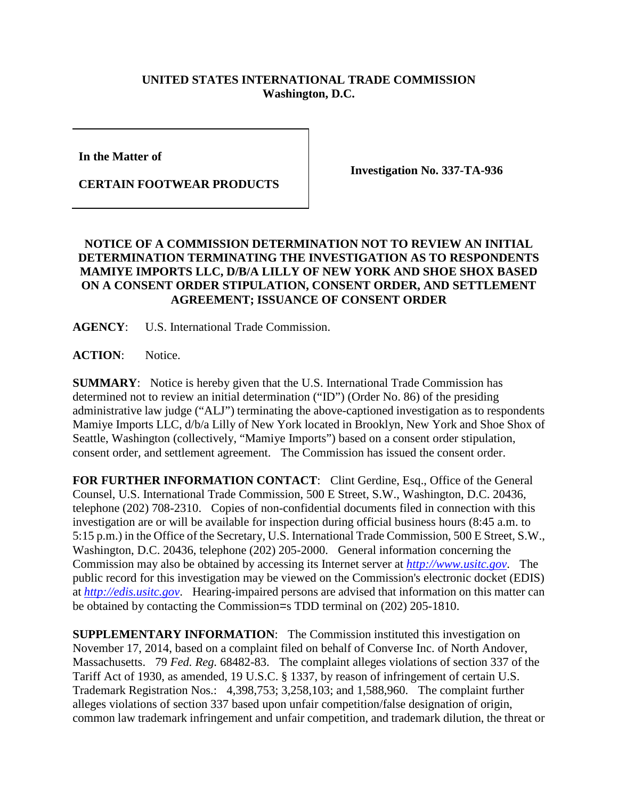## **UNITED STATES INTERNATIONAL TRADE COMMISSION Washington, D.C.**

**In the Matter of** 

**CERTAIN FOOTWEAR PRODUCTS**

**Investigation No. 337-TA-936**

## **NOTICE OF A COMMISSION DETERMINATION NOT TO REVIEW AN INITIAL DETERMINATION TERMINATING THE INVESTIGATION AS TO RESPONDENTS MAMIYE IMPORTS LLC, D/B/A LILLY OF NEW YORK AND SHOE SHOX BASED ON A CONSENT ORDER STIPULATION, CONSENT ORDER, AND SETTLEMENT AGREEMENT; ISSUANCE OF CONSENT ORDER**

**AGENCY**: U.S. International Trade Commission.

ACTION: Notice.

**SUMMARY**: Notice is hereby given that the U.S. International Trade Commission has determined not to review an initial determination ("ID") (Order No. 86) of the presiding administrative law judge ("ALJ") terminating the above-captioned investigation as to respondents Mamiye Imports LLC, d/b/a Lilly of New York located in Brooklyn, New York and Shoe Shox of Seattle, Washington (collectively, "Mamiye Imports") based on a consent order stipulation, consent order, and settlement agreement. The Commission has issued the consent order.

FOR FURTHER INFORMATION CONTACT: Clint Gerdine, Esq., Office of the General Counsel, U.S. International Trade Commission, 500 E Street, S.W., Washington, D.C. 20436, telephone (202) 708-2310. Copies of non-confidential documents filed in connection with this investigation are or will be available for inspection during official business hours (8:45 a.m. to 5:15 p.m.) in the Office of the Secretary, U.S. International Trade Commission, 500 E Street, S.W., Washington, D.C. 20436, telephone (202) 205-2000. General information concerning the Commission may also be obtained by accessing its Internet server at *[http://www.usitc.gov](http://www.usitc.gov/)*. The public record for this investigation may be viewed on the Commission's electronic docket (EDIS) at *[http://edis.usitc.gov](http://edis.usitc.gov/)*. Hearing-impaired persons are advised that information on this matter can be obtained by contacting the Commission=s TDD terminal on (202) 205-1810.

**SUPPLEMENTARY INFORMATION**: The Commission instituted this investigation on November 17, 2014, based on a complaint filed on behalf of Converse Inc. of North Andover, Massachusetts. 79 *Fed. Reg.* 68482-83. The complaint alleges violations of section 337 of the Tariff Act of 1930, as amended, 19 U.S.C. § 1337, by reason of infringement of certain U.S. Trademark Registration Nos.: 4,398,753; 3,258,103; and 1,588,960. The complaint further alleges violations of section 337 based upon unfair competition/false designation of origin, common law trademark infringement and unfair competition, and trademark dilution, the threat or